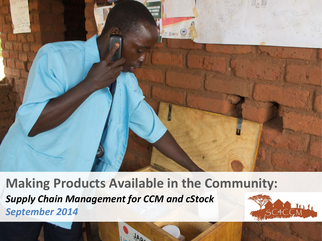

**Making Products Available in the Community:**  *Supply Chain Management for CCM and cStock September 2014*

**AA** 

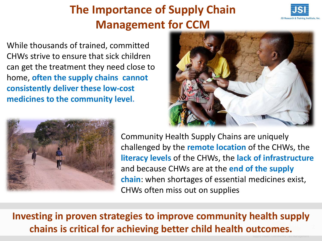### **The Importance of Supply Chain Management for CCM**



While thousands of trained, committed CHWs strive to ensure that sick children can get the treatment they need close to home, **often the supply chains cannot consistently deliver these low-cost medicines to the community level.**





Community Health Supply Chains are uniquely challenged by the **remote location** of the CHWs, the **literacy levels** of the CHWs, the **lack of infrastructure**  and because CHWs are at the **end of the supply chain**: when shortages of essential medicines exist, CHWs often miss out on supplies

### **Investing in proven strategies to improve community health supply chains is critical for achieving better child health outcomes.**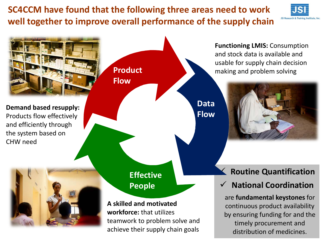**SC4CCM have found that the following three areas need to work well together to improve overall performance of the supply chain**



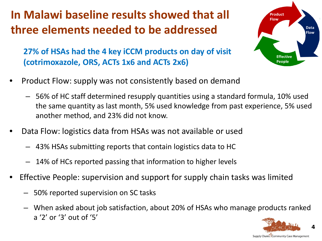### **In Malawi baseline results showed that all three elements needed to be addressed**

**Product** Flow **Data Flow Effective People** 

**27% of HSAs had the 4 key iCCM products on day of visit (cotrimoxazole, ORS, ACTs 1x6 and ACTs 2x6)** 

- Product Flow: supply was not consistently based on demand
	- 56% of HC staff determined resupply quantities using a standard formula, 10% used the same quantity as last month, 5% used knowledge from past experience, 5% used another method, and 23% did not know.
- Data Flow: logistics data from HSAs was not available or used
	- 43% HSAs submitting reports that contain logistics data to HC
	- 14% of HCs reported passing that information to higher levels
- Effective People: supervision and support for supply chain tasks was limited
	- 50% reported supervision on SC tasks
	- When asked about job satisfaction, about 20% of HSAs who manage products ranked a '2' or '3' out of '5'



**4**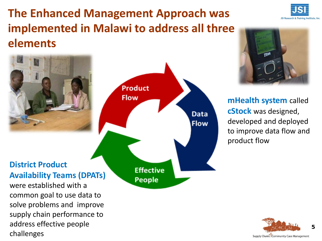### **The Enhanced Management Approach was implemented in Malawi to address all three elements**



address effective people

challenges



**mHealth system** called **cStock** was designed, developed and deployed to improve data flow and product flow



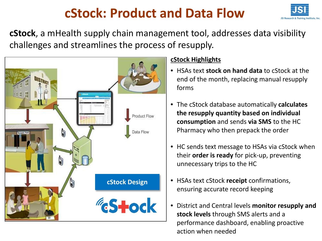## **cStock: Product and Data Flow**



**cStock**, a mHealth supply chain management tool, addresses data visibility challenges and streamlines the process of resupply.



#### **cStock Highlights**

- HSAs text **stock on hand data** to cStock at the end of the month, replacing manual resupply forms
- The cStock database automatically **calculates the resupply quantity based on individual consumption** and sends **via SMS** to the HC Pharmacy who then prepack the order
- HC sends text message to HSAs via cStock when their **order is ready** for pick-up, preventing unnecessary trips to the HC
- HSAs text cStock **receipt** confirmations, ensuring accurate record keeping
- District and Central levels **monitor resupply and stock levels** through SMS alerts and a performance dashboard, enabling proactive action when needed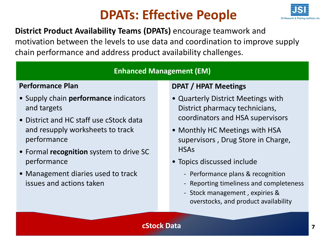### **DPATs: Effective People**



### **District Product Availability Teams (DPATs)** encourage teamwork and motivation between the levels to use data and coordination to improve supply chain performance and address product availability challenges.

#### **Enhanced Management (EM)**

#### **Performance Plan**

- Supply chain **performance** indicators and targets
- District and HC staff use cStock data and resupply worksheets to track performance
- Formal **recognition** system to drive SC performance
- Management diaries used to track issues and actions taken

#### **DPAT / HPAT Meetings**

- Quarterly District Meetings with District pharmacy technicians, coordinators and HSA supervisors
- Monthly HC Meetings with HSA supervisors , Drug Store in Charge, **HSAs**
- Topics discussed include
	- Performance plans & recognition
	- Reporting timeliness and completeness
	- Stock management , expiries & overstocks, and product availability

#### **cStock Data**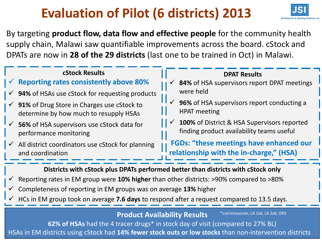# **Evaluation of Pilot (6 districts) 2013**



By targeting **product flow, data flow and effective people** for the community health supply chain, Malawi saw quantifiable improvements across the board. cStock and DPATs are now in **28 of the 29 districts** (last one to be trained in Oct) in Malawi.

#### **cStock Results**

### **Reporting rates consistently above 80%**

- **94%** of HSAs use cStock for requesting products
- **91%** of Drug Store in Charges use cStock to determine by how much to resupply HSAs
- **56%** of HSA supervisors use cStock data for performance monitoring
- All district coordinators use cStock for planning and coordination

#### **DPAT Results**

- **84%** of HSA supervisors report DPAT meetings were held
- **96%** of HSA supervisors report conducting a HPAT meeting
- **100%** of District & HSA Supervisors reported finding product availability teams useful

**FGDs: "these meetings have enhanced our relationship with the in-charge," (HSA)**

#### **Districts with cStock plus DPATs performed better than districts with cStock only**

- Reporting rates in EM group were **10% higher** than other districts: >90% compared to >80%
- Completeness of reporting in EM groups was on average **13%** higher
- HCs in EM group took on average **7.6 days** to respond after a request compared to 13.5 days.

#### **Product Availability Results**

\*cotrimoxazole, LA 1x6, LA 2x6, ORS

S **62% of HSAs** had the 4 tracer drugs\* in stock day of visit (compared to 27% BL) HSAs in EM districts using cStock had **14% fewer stock outs or low stocks** than non-intervention districts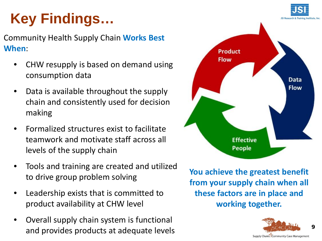# **Key Findings…**

Community Health Supply Chain **Works Best When**:

- CHW resupply is based on demand using consumption data
- Data is available throughout the supply chain and consistently used for decision making
- Formalized structures exist to facilitate teamwork and motivate staff across all levels of the supply chain
- Tools and training are created and utilized to drive group problem solving
- Leadership exists that is committed to product availability at CHW level
- Overall supply chain system is functional and provides products at adequate levels



**You achieve the greatest benefit from your supply chain when all these factors are in place and working together.**